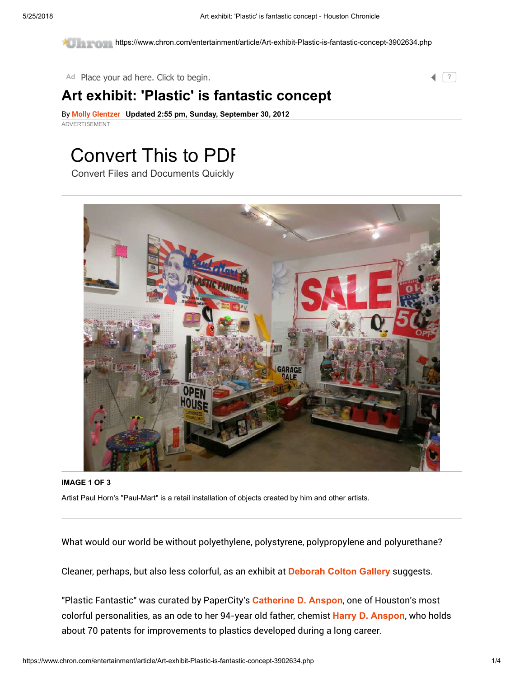https://www.chron.com/entertainment/article/Art-exhibit-Plastic-is-fantastic-concept-3902634.php

Ad Place your ad here. Click to begin.

### Art exhibit: 'Plastic' is fantastic concept

By [Molly Glentzer](https://www.chron.com/author/molly-glentzer/) Updated 2:55 pm, Sunday, September 30, 2012 ADVERTISEMENT

# [Convert This to PDF](https://www.googleadservices.com/pagead/aclk?sa=L&ai=CQi2AkioIW9HsDMaehATYmofIBvvD7-dRl5_zkYcHiv2ghMMBEAEg7dKbIWDJpqeH3KPwEKAB7sTbngPIAQGoAwHIA8sEqgTyAU_QPQTlm4BtUqFEfaDqDZuzSX_TQK6rj_h-184xqgAUm-2dyko-WYuKJQiTMI_6FE9R0m-d3OyuS0zW0MGVaVlrFVg_LV_7S35kwY99XCSU8tdtGdNtIAlChuznLLQYZJ6VzyhKdupn-0Abrx5RrIFWHpROlCkobKgZcEru96ZjDq8jBY-f8KHBEMNhUdtRnzU93QcuYMI8udBjw0aKgwa-4-oRjt-X4iTJf8b8Rtd4BjJd1V24H9AJ2rolkltI_VfrM78GsAJBpIU6ma37LK-buHdcs9mif7eAHzfP1oVWybmmhKaUVSHhBjTy7N7bSU1cgAf6uqRhqAeOzhuoB43NG6gH1ckbqAfZyxuoB8_MG6gHpr4bqAeYzhvYBwHSCAcIgGEQARgB8ggbYWR4LXN1YnN5bi0zMDA3MTczOTQ4NzgyMDgwsQkXJpjpjWRE2YAKA9gTDA&num=1&cid=CAASEuRowijbI8iq8Q5OXfHVug2YkA&sig=AOD64_12fITaycVT92bnGsGgk7sQ-WUFFg&client=ca-pub-8415620659137418&adurl=http://click.beetracks.info/2d2ea32b-f861-498b-9217-f2997154a839%3Fadgroup%3D55062512557)

Convert Files and Documents Quickly



IMAGE 1 OF 3 Artist Paul Horn's "Paul-Mart" is a retail installation of objects created by him and other artists.

What would our world be without polyethylene, polystyrene, polypropylene and polyurethane?

Cleaner, perhaps, but also less colorful, as an exhibit at [Deborah Colton Gallery](https://www.chron.com/search/?action=search&channel=entertainment&inlineLink=1&searchindex=solr&query=%22Deborah+Colton+Gallery%22) suggests.

"Plastic Fantastic" was curated by PaperCity's [Catherine D. Anspon](https://www.chron.com/search/?action=search&channel=entertainment&inlineLink=1&searchindex=solr&query=%22Catherine+D.+Anspon%22), one of Houston's most colorful personalities, as an ode to her 94-year old father, chemist [Harry D. Anspon](https://www.chron.com/search/?action=search&channel=entertainment&inlineLink=1&searchindex=solr&query=%22Harry+D.+Anspon%22), who holds about 70 patents for improvements to plastics developed during a long career.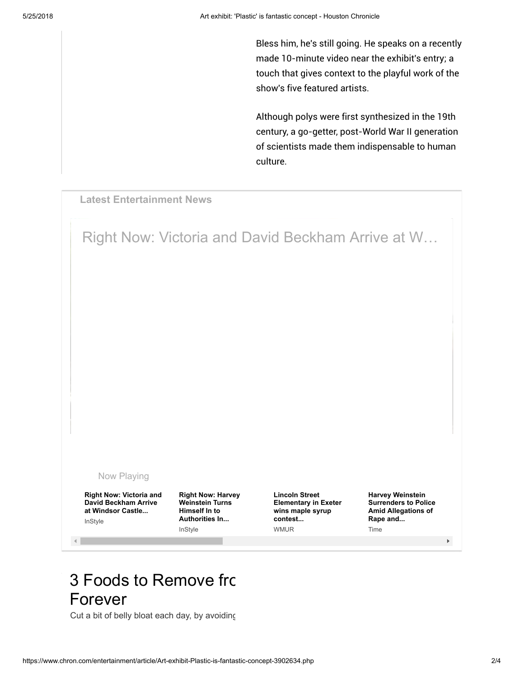Bless him, he's still going. He speaks on a recently made 10-minute video near the exhibit's entry; a touch that gives context to the playful work of the show's five featured artists.

Although polys were first synthesized in the 19th century, a go-getter, post-World War II generation of scientists made them indispensable to human culture.

Latest Entertainment News

Right Now: Victoria and David Beckham Arrive at W…

#### [Now Playing](https://www.chron.com/news/media/Right-Now-Victoria-and-David-Beckham-Arrive-at-1265169.php)

Right Now: Victoria and David Beckham Arrive at Windsor Castle... InStyle

 $\rightarrow$ 

Right Now: Harvey Weinstein Turns Himself In to Authorities In... **InStyle** 

Lincoln Street Elementary in Exeter wins maple syrup contest... WMUR

Harvey Weinstein Surrenders to Police Amid Allegations of Rape and... Time

 $\blacktriangleright$ 

## 3 Foods to Remove from Forever

Cut a bit of belly bloat each day, by avoiding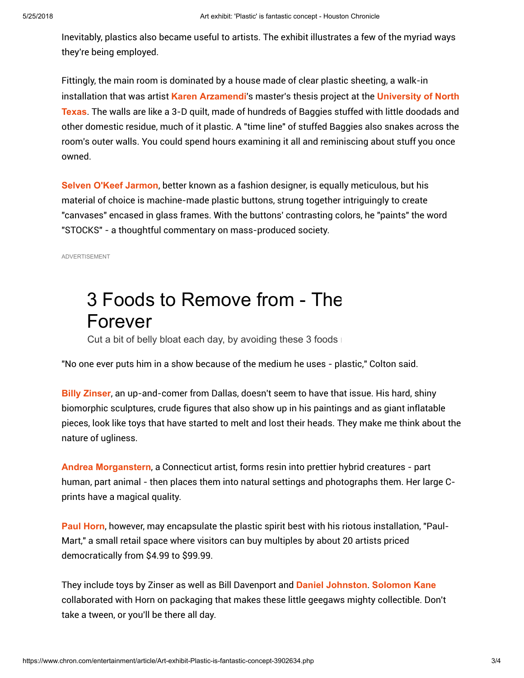Inevitably, plastics also became useful to artists. The exhibit illustrates a few of the myriad ways they're being employed.

Fittingly, the main room is dominated by a house made of clear plastic sheeting, a walk-in installation that was artist [Karen Arzamendi](https://www.chron.com/search/?action=search&channel=entertainment&inlineLink=1&searchindex=solr&query=%22Karen+Arzamendi%22)'s master's thesis project at the University of North Texas[. The walls are like a 3-D quilt, made of hundreds of Baggies stuffed with little doodads and](https://www.chron.com/search/?action=search&channel=entertainment&inlineLink=1&searchindex=solr&query=%22University+of+North+Texas%22) other domestic residue, much of it plastic. A "time line" of stuffed Baggies also snakes across the room's outer walls. You could spend hours examining it all and reminiscing about stuff you once owned.

[Selven O'Keef Jarmon](https://www.chron.com/search/?action=search&channel=entertainment&inlineLink=1&searchindex=solr&query=%22Selven+O%27Keef+Jarmon%22), better known as a fashion designer, is equally meticulous, but his material of choice is machine-made plastic buttons, strung together intriguingly to create "canvases" encased in glass frames. With the buttons' contrasting colors, he "paints" the word "STOCKS" - a thoughtful commentary on mass-produced society.

ADVERTISEMENT

# 3 Foods to Remove from - The Forever

[Cut a bit of belly bloat each day, by avoiding these 3 foods](https://www.googleadservices.com/pagead/aclk?sa=L&ai=CwsApeSoIW7rSBcmuhAT9yKf4DaizrIxM0IezubAGkrOg450JEAEg7dKbIWDJpqeH3KPwEKABjqvzxAPIAQGoAwHIA8MEqgT3AU_QLVKqbr1Y1UE3qUX6D9eZYGMa4ayJ64hqjpfsI-DJFMiJdwx_9A_VXGrZzZ4uCAINM0f438file0Dbi7-DUnJPK7ZoY_oKQcddxQ7AgD1xhP9NgkLg6hVLTrPBlqnUhw7Qqv8TktGoG2ysT86yjtcitPJ-JuyR6YSAlDdatxR0cXKN3AS2P5BZYwMNUv0mv7b0zCCEcSf3A0FQz6Ae8bgE4Bd0otV4DJScOGKmkrPhqW47kNDtNXg2Ipf5kOmKy8HifkWT-rk-nez5FPAdt3lTOYmQuTbsvAFG17oCt715XIwp1mOj8yYrEIGoefGlUhuVb-aXmagBlGAB9rUjDuoB47OG6gHjc0bqAfVyRuoB9nLG6gHz8wbqAemvhuoB5jOG9gHAdIIBwiAYRABGAHyCBthZHgtc3Vic3luLTMwMDcxNzM5NDg3ODIwODCxCblXHL72aFCSgAoD2BMM&num=1&cid=CAASEuRoy3CA9eiqmDjh2L5P_uxYgA&sig=AOD64_3pJbMOthoxII6ortkp__XWv2HTQw&client=ca-pub-8415620659137418&adurl=http://nucific.com/3harmfulfoods/)

"No one ever puts him in a show because of the medium he uses - plastic," Colton said.

[Billy Zinser](https://www.chron.com/search/?action=search&channel=entertainment&inlineLink=1&searchindex=solr&query=%22Billy+Zinser%22), an up-and-comer from Dallas, doesn't seem to have that issue. His hard, shiny biomorphic sculptures, crude figures that also show up in his paintings and as giant inflatable pieces, look like toys that have started to melt and lost their heads. They make me think about the nature of ugliness.

[Andrea Morganstern](https://www.chron.com/search/?action=search&channel=entertainment&inlineLink=1&searchindex=solr&query=%22Andrea+Morganstern%22), a Connecticut artist, forms resin into prettier hybrid creatures - part human, part animal - then places them into natural settings and photographs them. Her large Cprints have a magical quality.

[Paul Horn](https://www.chron.com/search/?action=search&channel=entertainment&inlineLink=1&searchindex=solr&query=%22Paul+Horn%22), however, may encapsulate the plastic spirit best with his riotous installation, "Paul-Mart," a small retail space where visitors can buy multiples by about 20 artists priced democratically from \$4.99 to \$99.99.

They include toys by Zinser as well as Bill Davenport and [Daniel Johnston](https://www.chron.com/search/?action=search&channel=entertainment&inlineLink=1&searchindex=solr&query=%22Daniel+Johnston%22). [Solomon Kane](https://www.chron.com/search/?action=search&channel=entertainment&inlineLink=1&searchindex=solr&query=%22Solomon+Kane%22) collaborated with Horn on packaging that makes these little geegaws mighty collectible. Don't take a tween, or you'll be there all day.